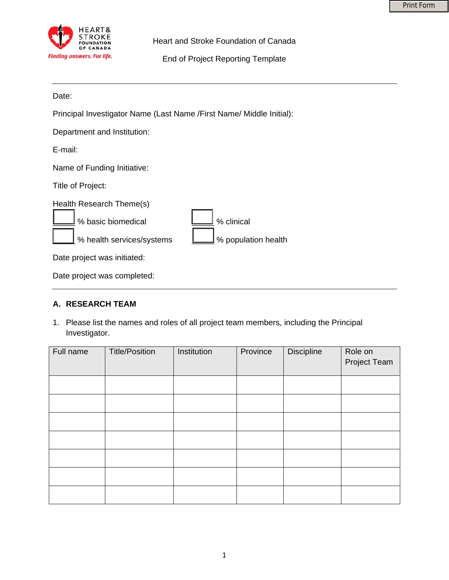

Heart and Stroke Foundation of Canada

End of Project Reporting Template

Date:

Principal Investigator Name (Last Name /First Name/ Middle Initial):

Department and Institution:

E-mail:

Name of Funding Initiative:

Title of Project:

| Health Research Theme(s)     |                             |
|------------------------------|-----------------------------|
| 8 basic biomedical           | % clinical                  |
| 8 health services/systems    | [Vellet 9 population health |
| Deta neglast usan initiatash |                             |

Date project was initiated:

Date project was completed:

## **A. RESEARCH TEAM**

1. Please list the names and roles of all project team members, including the Principal Investigator.

| Full name | <b>Title/Position</b> | Institution | Province | <b>Discipline</b> | Role on<br>Project Team |
|-----------|-----------------------|-------------|----------|-------------------|-------------------------|
|           |                       |             |          |                   |                         |
|           |                       |             |          |                   |                         |
|           |                       |             |          |                   |                         |
|           |                       |             |          |                   |                         |
|           |                       |             |          |                   |                         |
|           |                       |             |          |                   |                         |
|           |                       |             |          |                   |                         |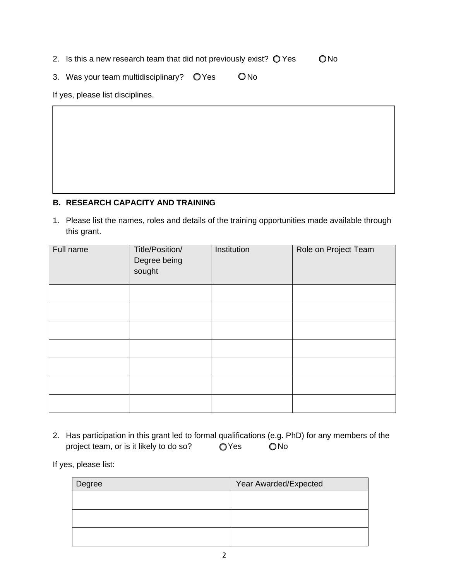2. Is this a new research team that did not previously exist?  $\bigcirc$  Yes  $\bigcirc$  No

3. Was your team multidisciplinary?  $Q$  Yes  $Q$  No

If yes, please list disciplines.

## **B. RESEARCH CAPACITY AND TRAINING**

1. Please list the names, roles and details of the training opportunities made available through this grant.

| Full name | Title/Position/<br>Degree being<br>sought | Institution | Role on Project Team |
|-----------|-------------------------------------------|-------------|----------------------|
|           |                                           |             |                      |
|           |                                           |             |                      |
|           |                                           |             |                      |
|           |                                           |             |                      |
|           |                                           |             |                      |
|           |                                           |             |                      |
|           |                                           |             |                      |

2. Has participation in this grant led to formal qualifications (e.g. PhD) for any members of the project team, or is it likely to do so? OYes ONo

If yes, please list:

| Degree | Year Awarded/Expected |  |  |
|--------|-----------------------|--|--|
|        |                       |  |  |
|        |                       |  |  |
|        |                       |  |  |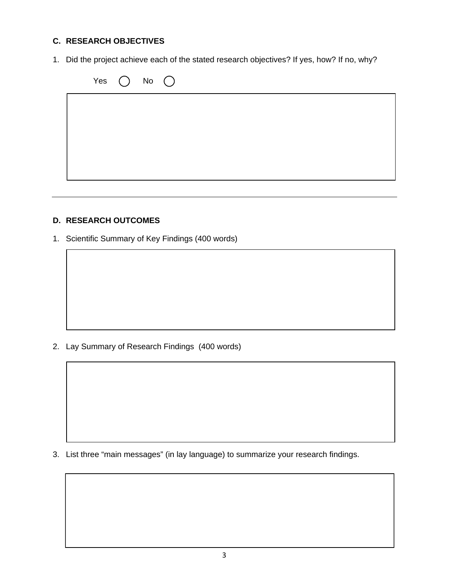# **C. RESEARCH OBJECTIVES**

1. Did the project achieve each of the stated research objectives? If yes, how? If no, why?

| Yes $\bigcirc$ No $\bigcirc$ |  |
|------------------------------|--|
|                              |  |
|                              |  |
|                              |  |
|                              |  |
|                              |  |

#### **D. RESEARCH OUTCOMES**

1. Scientific Summary of Key Findings (400 words)

2. Lay Summary of Research Findings (400 words)

3. List three "main messages" (in lay language) to summarize your research findings.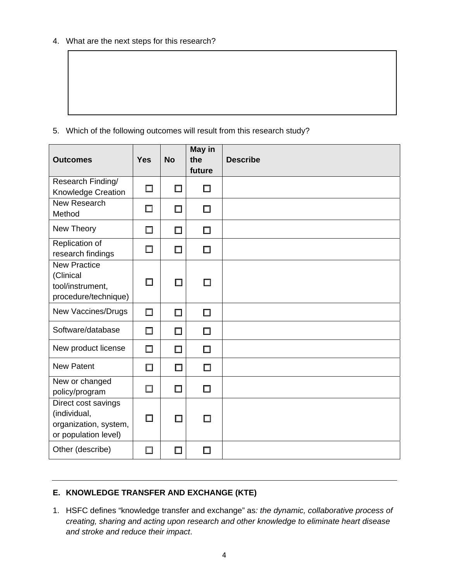4. What are the next steps for this research?

5. Which of the following outcomes will result from this research study?

| <b>Outcomes</b>                                                                      | <b>Yes</b> | <b>No</b> | May in<br>the<br>future | <b>Describe</b> |
|--------------------------------------------------------------------------------------|------------|-----------|-------------------------|-----------------|
| Research Finding/<br>Knowledge Creation                                              | $\Box$     | □         | □                       |                 |
| New Research<br>Method                                                               | □          | $\Box$    | □                       |                 |
| New Theory                                                                           | $\Box$     | $\Box$    | $\Box$                  |                 |
| Replication of<br>research findings                                                  | $\Box$     | $\Box$    | □                       |                 |
| <b>New Practice</b><br>(Clinical<br>tool/instrument,<br>procedure/technique)         | П          | $\Box$    | П                       |                 |
| New Vaccines/Drugs                                                                   | $\Box$     | $\Box$    | $\Box$                  |                 |
| Software/database                                                                    | $\Box$     | $\Box$    | $\Box$                  |                 |
| New product license                                                                  | $\Box$     | $\Box$    | $\Box$                  |                 |
| <b>New Patent</b>                                                                    | $\Box$     | $\Box$    | $\Box$                  |                 |
| New or changed<br>policy/program                                                     | $\Box$     | $\Box$    | $\Box$                  |                 |
| Direct cost savings<br>(individual,<br>organization, system,<br>or population level) | $\Box$     | $\Box$    | □                       |                 |
| Other (describe)                                                                     | $\Box$     | П         | П                       |                 |

## **E. KNOWLEDGE TRANSFER AND EXCHANGE (KTE)**

1. HSFC defines "knowledge transfer and exchange" as*: the dynamic, collaborative process of creating, sharing and acting upon research and other knowledge to eliminate heart disease and stroke and reduce their impact*.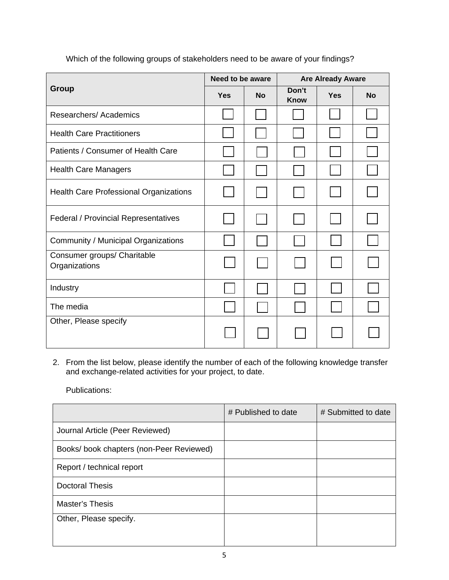|                                               | Need to be aware |           | <b>Are Already Aware</b> |            |           |
|-----------------------------------------------|------------------|-----------|--------------------------|------------|-----------|
| Group                                         | <b>Yes</b>       | <b>No</b> | Don't<br><b>Know</b>     | <b>Yes</b> | <b>No</b> |
| Researchers/Academics                         |                  |           |                          |            |           |
| <b>Health Care Practitioners</b>              |                  |           |                          |            |           |
| Patients / Consumer of Health Care            |                  |           |                          |            |           |
| <b>Health Care Managers</b>                   |                  |           |                          |            |           |
| <b>Health Care Professional Organizations</b> |                  |           |                          |            |           |
| <b>Federal / Provincial Representatives</b>   |                  |           |                          |            |           |
| Community / Municipal Organizations           |                  |           |                          |            |           |
| Consumer groups/ Charitable<br>Organizations  |                  |           |                          |            |           |
| Industry                                      |                  |           |                          |            |           |
| The media                                     |                  |           |                          |            |           |
| Other, Please specify                         |                  |           |                          |            |           |

Which of the following groups of stakeholders need to be aware of your findings?

2. From the list below, please identify the number of each of the following knowledge transfer and exchange-related activities for your project, to date.

Publications:

|                                         | # Published to date | # Submitted to date |
|-----------------------------------------|---------------------|---------------------|
| Journal Article (Peer Reviewed)         |                     |                     |
| Books/book chapters (non-Peer Reviewed) |                     |                     |
| Report / technical report               |                     |                     |
| <b>Doctoral Thesis</b>                  |                     |                     |
| <b>Master's Thesis</b>                  |                     |                     |
| Other, Please specify.                  |                     |                     |
|                                         |                     |                     |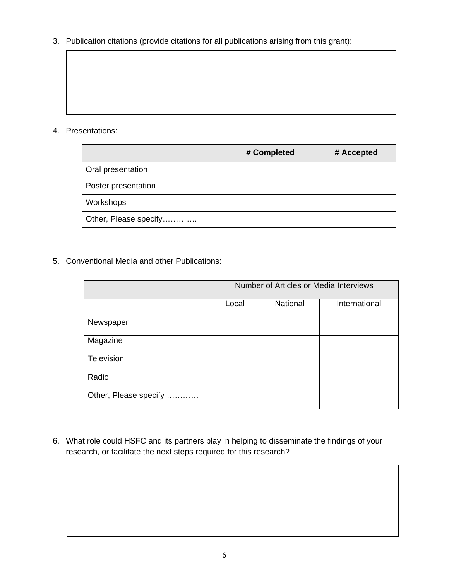3. Publication citations (provide citations for all publications arising from this grant):

### 4. Presentations:

|                       | # Completed | # Accepted |
|-----------------------|-------------|------------|
| Oral presentation     |             |            |
| Poster presentation   |             |            |
| Workshops             |             |            |
| Other, Please specify |             |            |

5. Conventional Media and other Publications:

|                       | Number of Articles or Media Interviews |          |               |  |
|-----------------------|----------------------------------------|----------|---------------|--|
|                       | Local                                  | National | International |  |
| Newspaper             |                                        |          |               |  |
| Magazine              |                                        |          |               |  |
| Television            |                                        |          |               |  |
| Radio                 |                                        |          |               |  |
| Other, Please specify |                                        |          |               |  |

6. What role could HSFC and its partners play in helping to disseminate the findings of your research, or facilitate the next steps required for this research?